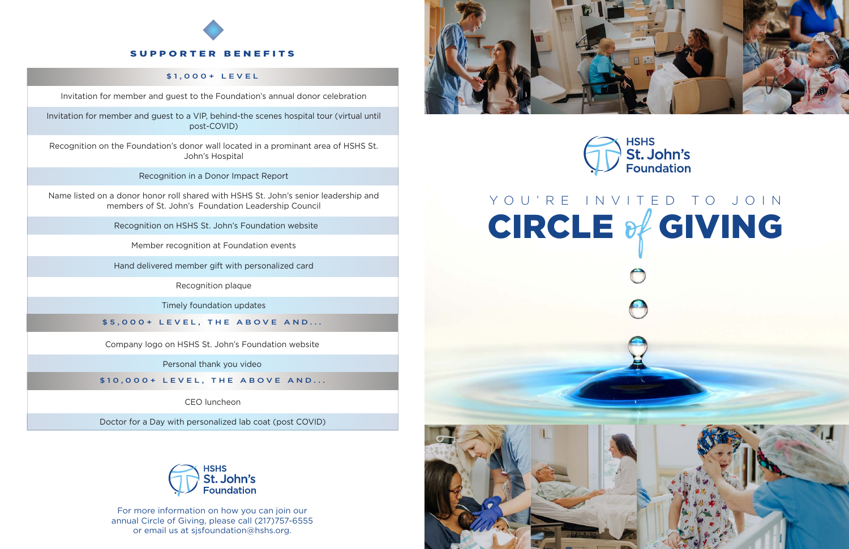For more information on how you can join our annual Circle of Giving, please call (217)757-6555 or email us at sjsfoundation@hshs.org.





**HSHS St. John's**<br>Foundation



Invitation for member and guest to the Foundation's annual donor celebration

Invitation for member and guest to a VIP, behind-the scenes hospital tour (virtual until post-COVID)

Recognition on the Foundation's donor wall located in a prominant area of HSHS St. John's Hospital

Recognition in a Donor Impact Report

Name listed on a donor honor roll shared with HSHS St. John's senior leadership and members of St. John's Foundation Leadership Council

Recognition on HSHS St. John's Foundation website

Member recognition at Foundation events

Hand delivered member gift with personalized card

Recognition plaque

Timely foundation updates

#### \$1,000+ LEVEL

Company logo on HSHS St. John's Foundation website

Personal thank you video

\$5,000+ LEVEL, THE ABOVE AND...

\$10,000+ LEVEL, THE ABOVE AND...

CEO luncheon

Doctor for a Day with personalized lab coat (post COVID)



# SUPPORTER BENEFITS